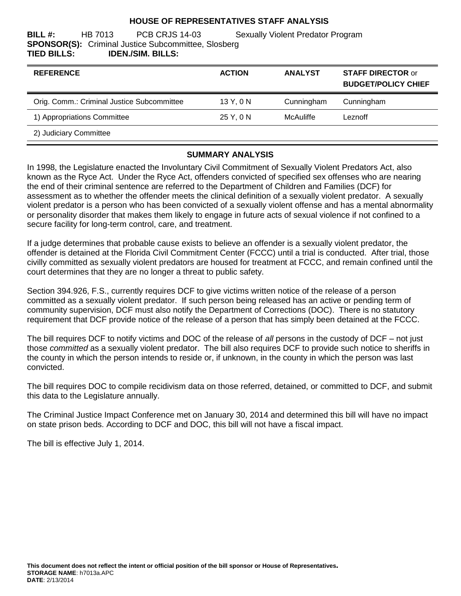#### **HOUSE OF REPRESENTATIVES STAFF ANALYSIS**

**BILL #:** HB 7013 PCB CRJS 14-03 Sexually Violent Predator Program **SPONSOR(S):** Criminal Justice Subcommittee, Slosberg **TIED BILLS: IDEN./SIM. BILLS:**

| <b>REFERENCE</b>                           | <b>ACTION</b> | <b>ANALYST</b> | <b>STAFF DIRECTOR or</b><br><b>BUDGET/POLICY CHIEF</b> |
|--------------------------------------------|---------------|----------------|--------------------------------------------------------|
| Orig. Comm.: Criminal Justice Subcommittee | 13 Y, 0 N     | Cunningham     | Cunningham                                             |
| 1) Appropriations Committee                | 25 Y, 0 N     | McAuliffe      | Leznoff                                                |
| 2) Judiciary Committee                     |               |                |                                                        |

#### **SUMMARY ANALYSIS**

In 1998, the Legislature enacted the Involuntary Civil Commitment of Sexually Violent Predators Act, also known as the Ryce Act. Under the Ryce Act, offenders convicted of specified sex offenses who are nearing the end of their criminal sentence are referred to the Department of Children and Families (DCF) for assessment as to whether the offender meets the clinical definition of a sexually violent predator. A sexually violent predator is a person who has been convicted of a sexually violent offense and has a mental abnormality or personality disorder that makes them likely to engage in future acts of sexual violence if not confined to a secure facility for long-term control, care, and treatment.

If a judge determines that probable cause exists to believe an offender is a sexually violent predator, the offender is detained at the Florida Civil Commitment Center (FCCC) until a trial is conducted. After trial, those civilly committed as sexually violent predators are housed for treatment at FCCC, and remain confined until the court determines that they are no longer a threat to public safety.

Section 394.926, F.S., currently requires DCF to give victims written notice of the release of a person committed as a sexually violent predator. If such person being released has an active or pending term of community supervision, DCF must also notify the Department of Corrections (DOC). There is no statutory requirement that DCF provide notice of the release of a person that has simply been detained at the FCCC.

The bill requires DCF to notify victims and DOC of the release of *all* persons in the custody of DCF – not just those *committed* as a sexually violent predator. The bill also requires DCF to provide such notice to sheriffs in the county in which the person intends to reside or, if unknown, in the county in which the person was last convicted.

The bill requires DOC to compile recidivism data on those referred, detained, or committed to DCF, and submit this data to the Legislature annually.

The Criminal Justice Impact Conference met on January 30, 2014 and determined this bill will have no impact on state prison beds. According to DCF and DOC, this bill will not have a fiscal impact.

The bill is effective July 1, 2014.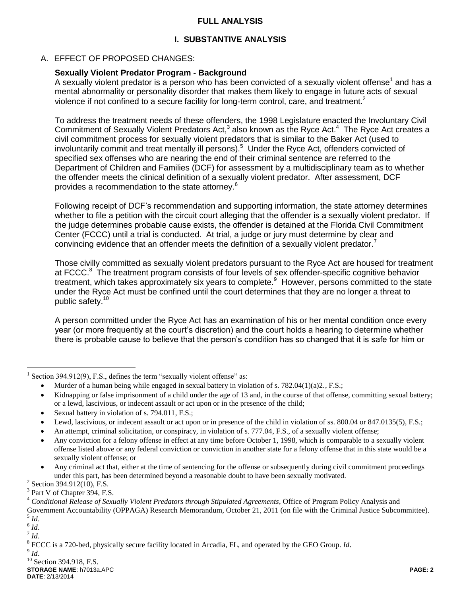## **FULL ANALYSIS**

# **I. SUBSTANTIVE ANALYSIS**

## A. EFFECT OF PROPOSED CHANGES:

## **Sexually Violent Predator Program - Background**

A sexually violent predator is a person who has been convicted of a sexually violent offense<sup>1</sup> and has a mental abnormality or personality disorder that makes them likely to engage in future acts of sexual violence if not confined to a secure facility for long-term control, care, and treatment.<sup>2</sup>

To address the treatment needs of these offenders, the 1998 Legislature enacted the Involuntary Civil Commitment of Sexually Violent Predators Act,<sup>3</sup> also known as the Ryce Act.<sup>4</sup> The Ryce Act creates a civil commitment process for sexually violent predators that is similar to the Baker Act (used to involuntarily commit and treat mentally ill persons).<sup>5</sup> Under the Ryce Act, offenders convicted of specified sex offenses who are nearing the end of their criminal sentence are referred to the Department of Children and Families (DCF) for assessment by a multidisciplinary team as to whether the offender meets the clinical definition of a sexually violent predator. After assessment, DCF provides a recommendation to the state attorney.<sup>6</sup>

Following receipt of DCF's recommendation and supporting information, the state attorney determines whether to file a petition with the circuit court alleging that the offender is a sexually violent predator. If the judge determines probable cause exists, the offender is detained at the Florida Civil Commitment Center (FCCC) until a trial is conducted. At trial, a judge or jury must determine by clear and convincing evidence that an offender meets the definition of a sexually violent predator.<sup>7</sup>

Those civilly committed as sexually violent predators pursuant to the Ryce Act are housed for treatment at FCCC.<sup>8</sup> The treatment program consists of four levels of sex offender-specific cognitive behavior treatment, which takes approximately six years to complete.<sup>9</sup> However, persons committed to the state under the Ryce Act must be confined until the court determines that they are no longer a threat to public safety.<sup>10</sup>

A person committed under the Ryce Act has an examination of his or her mental condition once every year (or more frequently at the court's discretion) and the court holds a hearing to determine whether there is probable cause to believe that the person's condition has so changed that it is safe for him or

 $\overline{a}$ 

<sup>1</sup> Section 394.912(9), F.S., defines the term "sexually violent offense" as:

Murder of a human being while engaged in sexual battery in violation of s. 782.04(1)(a)2., F.S.;

Kidnapping or false imprisonment of a child under the age of 13 and, in the course of that offense, committing sexual battery; or a lewd, lascivious, or indecent assault or act upon or in the presence of the child;

Sexual battery in violation of s. 794.011, F.S.;

Lewd, lascivious, or indecent assault or act upon or in presence of the child in violation of ss. 800.04 or 847.0135(5), F.S.;

An attempt, criminal solicitation, or conspiracy, in violation of s. 777.04, F.S., of a sexually violent offense;

Any conviction for a felony offense in effect at any time before October 1, 1998, which is comparable to a sexually violent offense listed above or any federal conviction or conviction in another state for a felony offense that in this state would be a sexually violent offense; or

Any criminal act that, either at the time of sentencing for the offense or subsequently during civil commitment proceedings under this part, has been determined beyond a reasonable doubt to have been sexually motivated.

<sup>&</sup>lt;sup>2</sup> Section 394.912(10), F.S.

<sup>&</sup>lt;sup>3</sup> Part V of Chapter 394, F.S.

<sup>4</sup> *Conditional Release of Sexually Violent Predators through Stipulated Agreements*, Office of Program Policy Analysis and Government Accountability (OPPAGA) Research Memorandum, October 21, 2011 (on file with the Criminal Justice Subcommittee).

<sup>5</sup> *Id*.

<sup>6</sup> *Id*.

<sup>7</sup> *Id*.

<sup>8</sup> FCCC is a 720-bed, physically secure facility located in Arcadia, FL, and operated by the GEO Group. *Id*.

<sup>9</sup> *Id*.

**STORAGE NAME**: h7013a.APC **PAGE: 2 DATE**: 2/13/2014 <sup>10</sup> Section 394.918, F.S.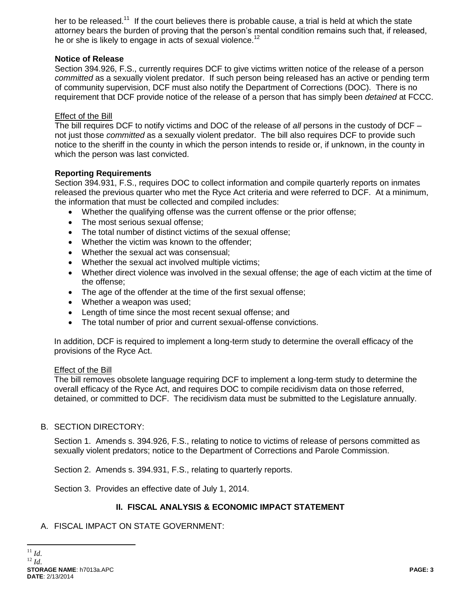her to be released.<sup>11</sup> If the court believes there is probable cause, a trial is held at which the state attorney bears the burden of proving that the person's mental condition remains such that, if released, he or she is likely to engage in acts of sexual violence.<sup>12</sup>

## **Notice of Release**

Section 394.926, F.S., currently requires DCF to give victims written notice of the release of a person *committed* as a sexually violent predator. If such person being released has an active or pending term of community supervision, DCF must also notify the Department of Corrections (DOC). There is no requirement that DCF provide notice of the release of a person that has simply been *detained* at FCCC.

#### Effect of the Bill

The bill requires DCF to notify victims and DOC of the release of *all* persons in the custody of DCF – not just those *committed* as a sexually violent predator. The bill also requires DCF to provide such notice to the sheriff in the county in which the person intends to reside or, if unknown, in the county in which the person was last convicted.

#### **Reporting Requirements**

Section 394.931, F.S., requires DOC to collect information and compile quarterly reports on inmates released the previous quarter who met the Ryce Act criteria and were referred to DCF. At a minimum, the information that must be collected and compiled includes:

- Whether the qualifying offense was the current offense or the prior offense;
- The most serious sexual offense;
- The total number of distinct victims of the sexual offense;
- Whether the victim was known to the offender:
- Whether the sexual act was consensual:
- Whether the sexual act involved multiple victims;
- Whether direct violence was involved in the sexual offense; the age of each victim at the time of the offense;
- The age of the offender at the time of the first sexual offense;
- Whether a weapon was used;
- Length of time since the most recent sexual offense: and
- The total number of prior and current sexual-offense convictions.

In addition, DCF is required to implement a long-term study to determine the overall efficacy of the provisions of the Ryce Act.

#### **Effect of the Bill**

The bill removes obsolete language requiring DCF to implement a long-term study to determine the overall efficacy of the Ryce Act, and requires DOC to compile recidivism data on those referred, detained, or committed to DCF. The recidivism data must be submitted to the Legislature annually.

## B. SECTION DIRECTORY:

Section 1. Amends s. 394.926, F.S., relating to notice to victims of release of persons committed as sexually violent predators; notice to the Department of Corrections and Parole Commission.

Section 2. Amends s. 394.931, F.S., relating to quarterly reports.

Section 3. Provides an effective date of July 1, 2014.

## **II. FISCAL ANALYSIS & ECONOMIC IMPACT STATEMENT**

A. FISCAL IMPACT ON STATE GOVERNMENT:

 $\overline{a}$